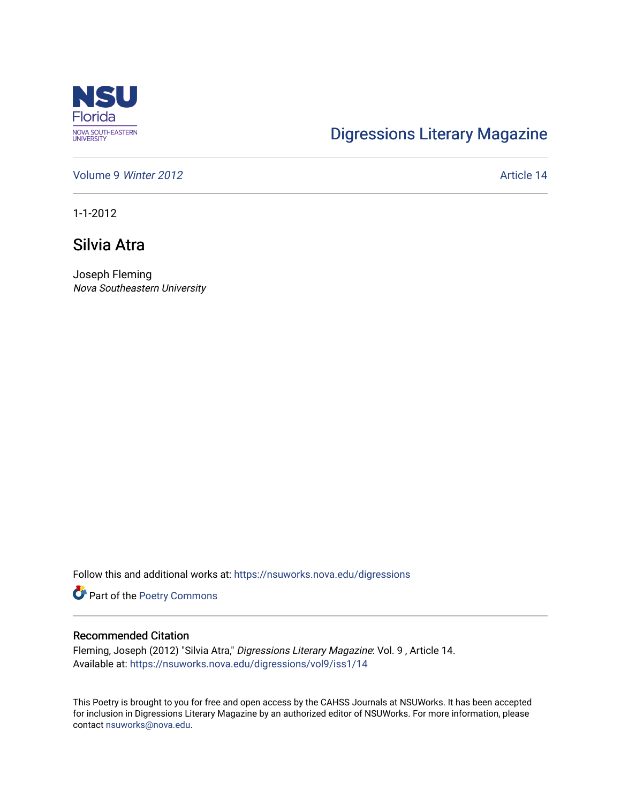

## [Digressions Literary Magazine](https://nsuworks.nova.edu/digressions)

[Volume 9](https://nsuworks.nova.edu/digressions/vol9) Winter 2012 **Article 14** Article 14

1-1-2012

## Silvia Atra

Joseph Fleming Nova Southeastern University

Follow this and additional works at: [https://nsuworks.nova.edu/digressions](https://nsuworks.nova.edu/digressions?utm_source=nsuworks.nova.edu%2Fdigressions%2Fvol9%2Fiss1%2F14&utm_medium=PDF&utm_campaign=PDFCoverPages) 

Part of the [Poetry Commons](http://network.bepress.com/hgg/discipline/1153?utm_source=nsuworks.nova.edu%2Fdigressions%2Fvol9%2Fiss1%2F14&utm_medium=PDF&utm_campaign=PDFCoverPages) 

## Recommended Citation

Fleming, Joseph (2012) "Silvia Atra," Digressions Literary Magazine: Vol. 9 , Article 14. Available at: [https://nsuworks.nova.edu/digressions/vol9/iss1/14](https://nsuworks.nova.edu/digressions/vol9/iss1/14?utm_source=nsuworks.nova.edu%2Fdigressions%2Fvol9%2Fiss1%2F14&utm_medium=PDF&utm_campaign=PDFCoverPages) 

This Poetry is brought to you for free and open access by the CAHSS Journals at NSUWorks. It has been accepted for inclusion in Digressions Literary Magazine by an authorized editor of NSUWorks. For more information, please contact [nsuworks@nova.edu.](mailto:nsuworks@nova.edu)